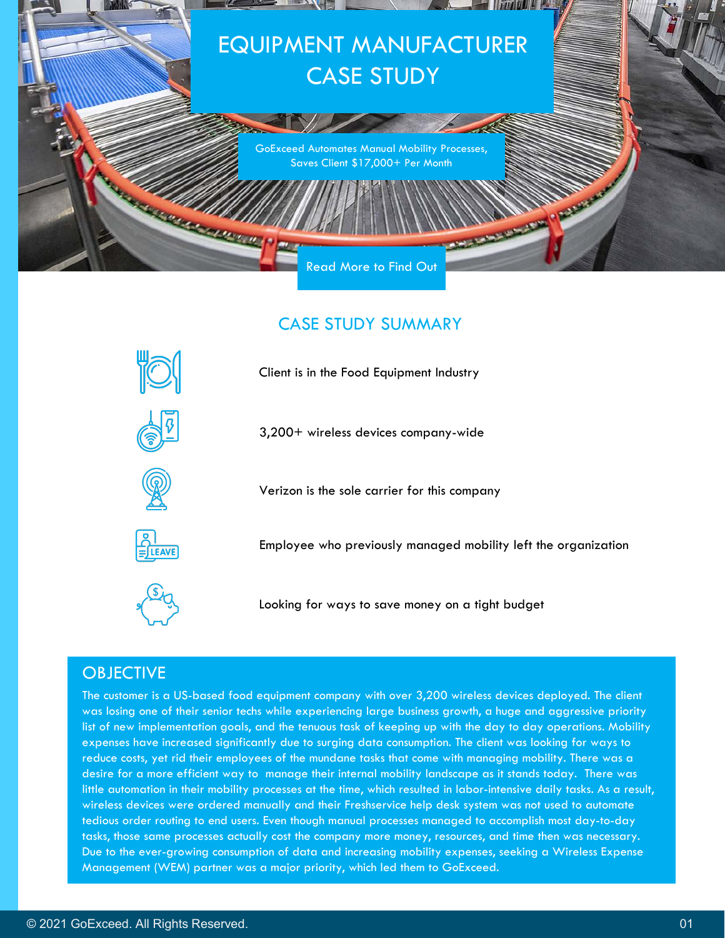

## CASE STUDY SUMMARY



3,200+ wireless devices company-wide

Verizon is the sole carrier for this company



Employee who previously managed mobility left the organization



Looking for ways to save money on a tight budget

## **OBJECTIVE**

The customer is a US-based food equipment company with over 3,200 wireless devices deployed. The client was losing one of their senior techs while experiencing large business growth, a huge and aggressive priority list of new implementation goals, and the tenuous task of keeping up with the day to day operations. Mobility expenses have increased significantly due to surging data consumption. The client was looking for ways to reduce costs, yet rid their employees of the mundane tasks that come with managing mobility. There was a desire for a more efficient way to manage their internal mobility landscape as it stands today. There was little automation in their mobility processes at the time, which resulted in labor-intensive daily tasks. As a result, wireless devices were ordered manually and their Freshservice help desk system was not used to automate tedious order routing to end users. Even though manual processes managed to accomplish most day-to-day tasks, those same processes actually cost the company more money, resources, and time then was necessary. Due to the ever-growing consumption of data and increasing mobility expenses, seeking a Wireless Expense Management (WEM) partner was a major priority, which led them to GoExceed.